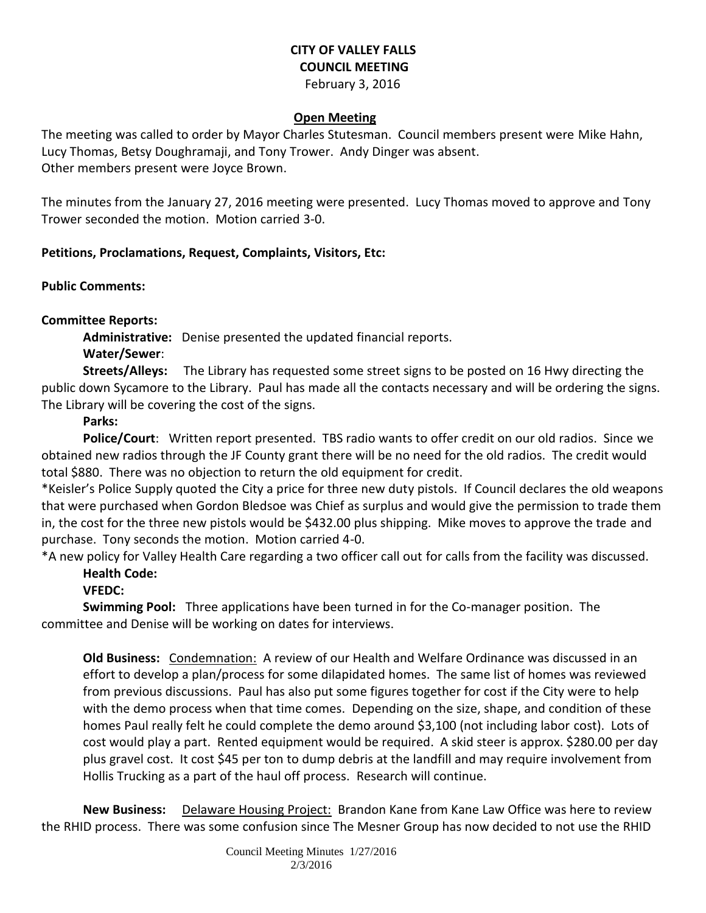# **CITY OF VALLEY FALLS COUNCIL MEETING**

February 3, 2016

### **Open Meeting**

The meeting was called to order by Mayor Charles Stutesman. Council members present were Mike Hahn, Lucy Thomas, Betsy Doughramaji, and Tony Trower. Andy Dinger was absent. Other members present were Joyce Brown.

The minutes from the January 27, 2016 meeting were presented. Lucy Thomas moved to approve and Tony Trower seconded the motion. Motion carried 3-0.

## **Petitions, Proclamations, Request, Complaints, Visitors, Etc:**

**Public Comments:** 

**Committee Reports:**

**Administrative:** Denise presented the updated financial reports.

**Water/Sewer**:

**Streets/Alleys:** The Library has requested some street signs to be posted on 16 Hwy directing the public down Sycamore to the Library. Paul has made all the contacts necessary and will be ordering the signs. The Library will be covering the cost of the signs.

# **Parks:**

**Police/Court**: Written report presented. TBS radio wants to offer credit on our old radios. Since we obtained new radios through the JF County grant there will be no need for the old radios. The credit would total \$880. There was no objection to return the old equipment for credit.

\*Keisler's Police Supply quoted the City a price for three new duty pistols. If Council declares the old weapons that were purchased when Gordon Bledsoe was Chief as surplus and would give the permission to trade them in, the cost for the three new pistols would be \$432.00 plus shipping. Mike moves to approve the trade and purchase. Tony seconds the motion. Motion carried 4-0.

\*A new policy for Valley Health Care regarding a two officer call out for calls from the facility was discussed. **Health Code:** 

## **VFEDC:**

**Swimming Pool:** Three applications have been turned in for the Co-manager position. The committee and Denise will be working on dates for interviews.

**Old Business:** Condemnation: A review of our Health and Welfare Ordinance was discussed in an effort to develop a plan/process for some dilapidated homes. The same list of homes was reviewed from previous discussions. Paul has also put some figures together for cost if the City were to help with the demo process when that time comes. Depending on the size, shape, and condition of these homes Paul really felt he could complete the demo around \$3,100 (not including labor cost). Lots of cost would play a part. Rented equipment would be required. A skid steer is approx. \$280.00 per day plus gravel cost. It cost \$45 per ton to dump debris at the landfill and may require involvement from Hollis Trucking as a part of the haul off process. Research will continue.

**New Business:** Delaware Housing Project: Brandon Kane from Kane Law Office was here to review the RHID process. There was some confusion since The Mesner Group has now decided to not use the RHID